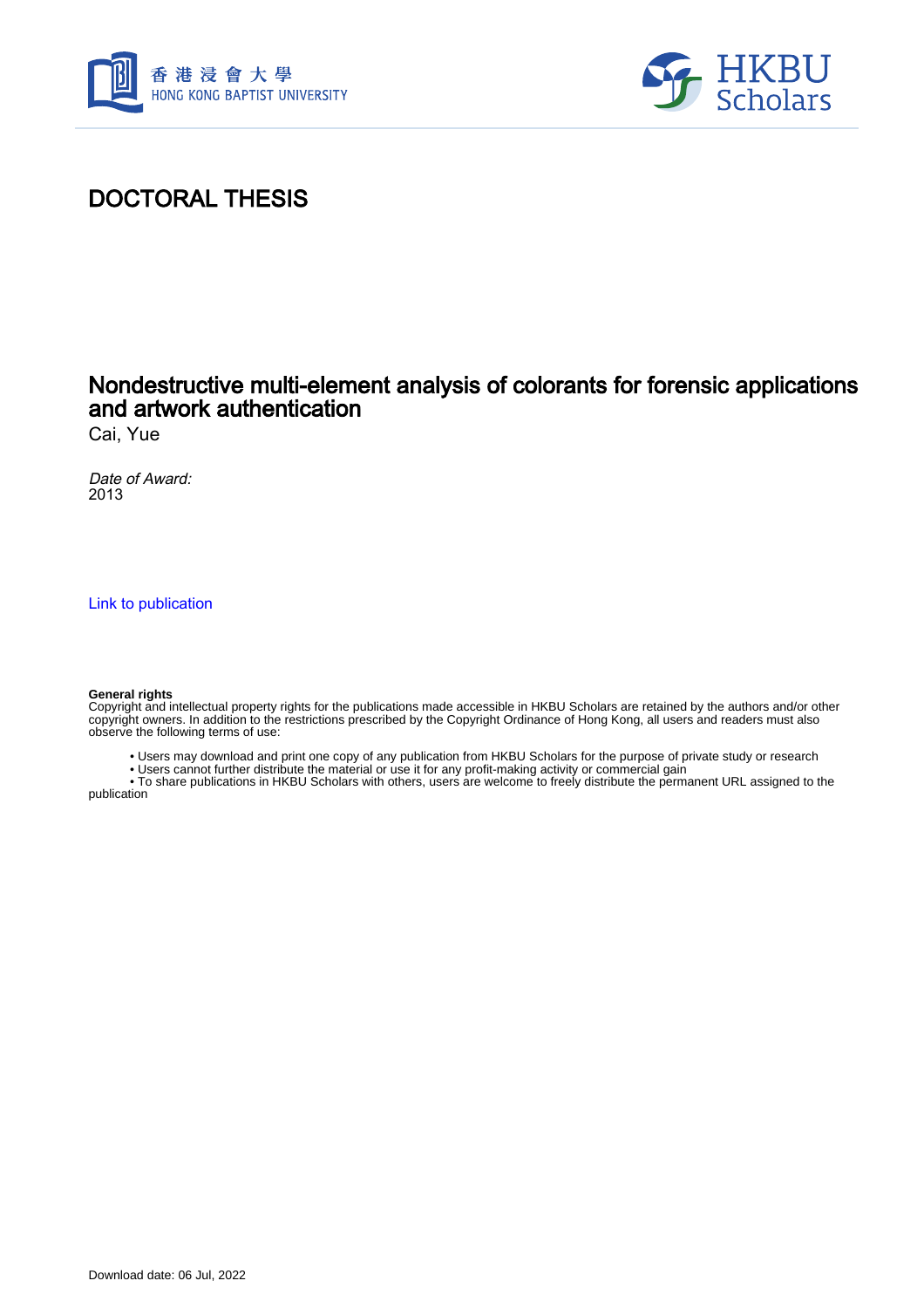



## DOCTORAL THESIS

### Nondestructive multi-element analysis of colorants for forensic applications and artwork authentication

Cai, Yue

Date of Award: 2013

[Link to publication](https://scholars.hkbu.edu.hk/en/studentTheses/60bc0619-69c0-472e-9f13-974a3fddeca2)

#### **General rights**

Copyright and intellectual property rights for the publications made accessible in HKBU Scholars are retained by the authors and/or other copyright owners. In addition to the restrictions prescribed by the Copyright Ordinance of Hong Kong, all users and readers must also observe the following terms of use:

• Users may download and print one copy of any publication from HKBU Scholars for the purpose of private study or research

• Users cannot further distribute the material or use it for any profit-making activity or commercial gain

 • To share publications in HKBU Scholars with others, users are welcome to freely distribute the permanent URL assigned to the publication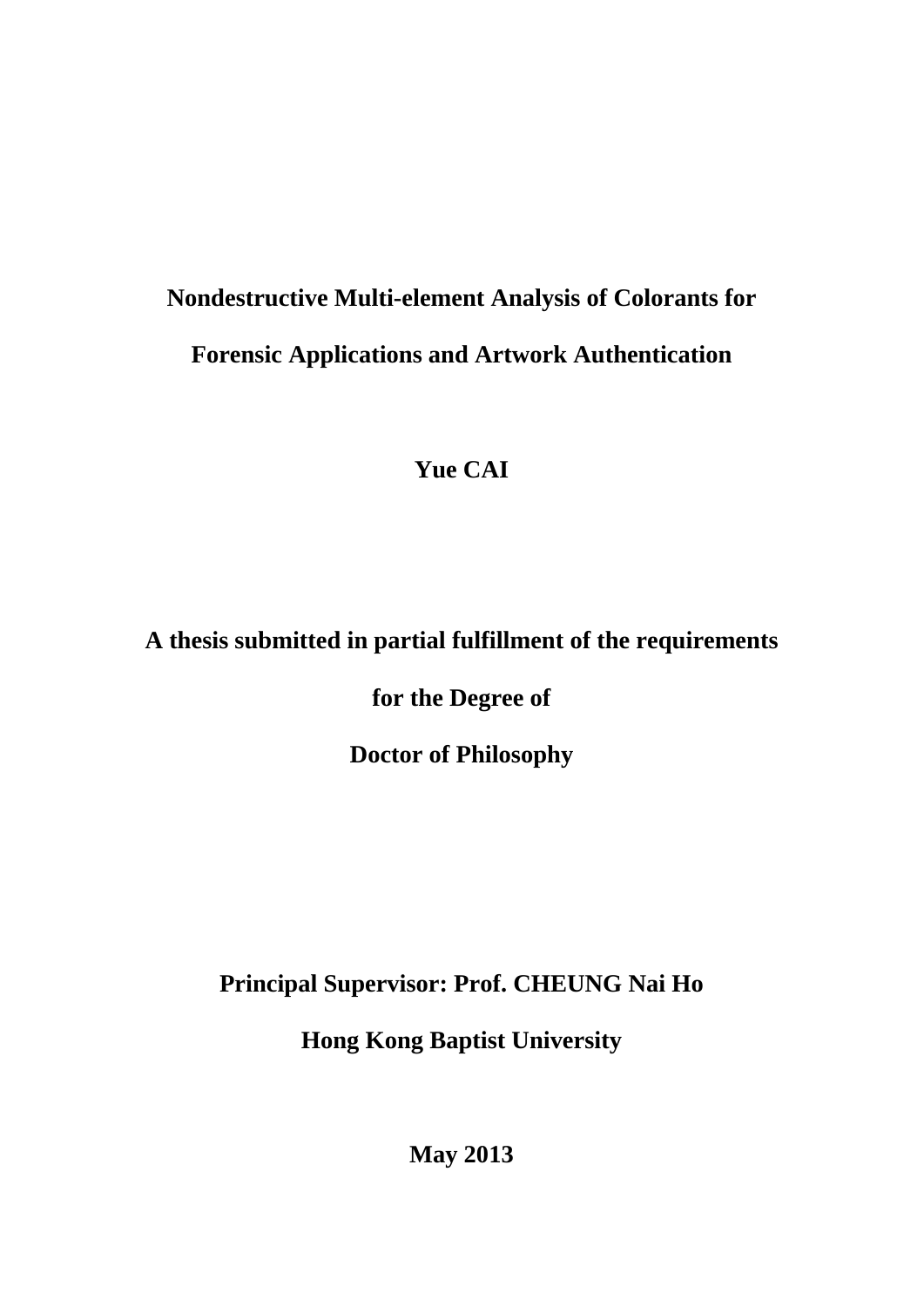# **Nondestructive Multi-element Analysis of Colorants for Forensic Applications and Artwork Authentication**

**Yue CAI** 

# **A thesis submitted in partial fulfillment of the requirements**

**for the Degree of** 

**Doctor of Philosophy** 

**Principal Supervisor: Prof. CHEUNG Nai Ho** 

**Hong Kong Baptist University** 

**May 2013**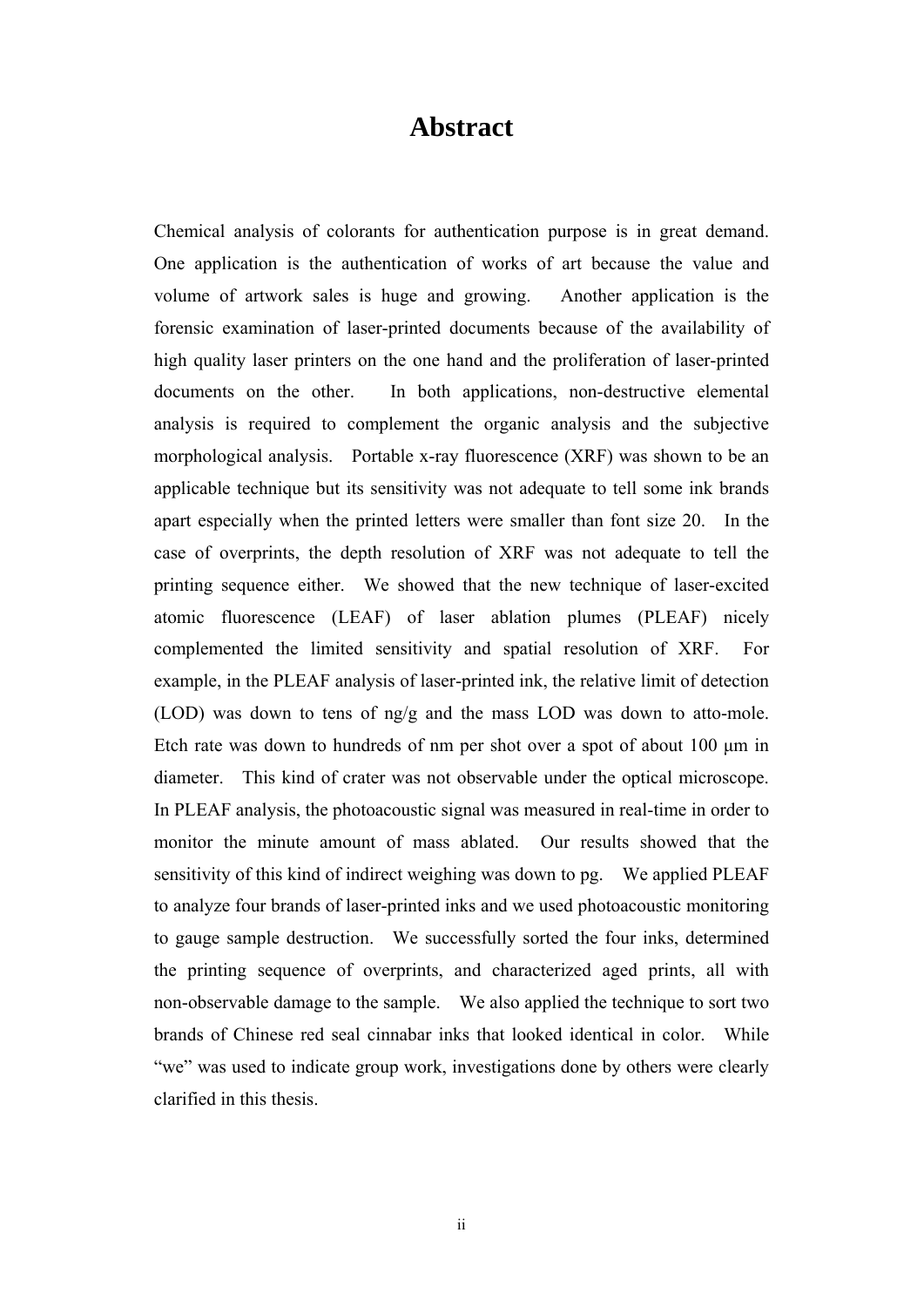### **Abstract**

Chemical analysis of colorants for authentication purpose is in great demand. One application is the authentication of works of art because the value and volume of artwork sales is huge and growing. Another application is the forensic examination of laser-printed documents because of the availability of high quality laser printers on the one hand and the proliferation of laser-printed documents on the other. In both applications, non-destructive elemental analysis is required to complement the organic analysis and the subjective morphological analysis. Portable x-ray fluorescence (XRF) was shown to be an applicable technique but its sensitivity was not adequate to tell some ink brands apart especially when the printed letters were smaller than font size 20. In the case of overprints, the depth resolution of XRF was not adequate to tell the printing sequence either. We showed that the new technique of laser-excited atomic fluorescence (LEAF) of laser ablation plumes (PLEAF) nicely complemented the limited sensitivity and spatial resolution of XRF. For example, in the PLEAF analysis of laser-printed ink, the relative limit of detection (LOD) was down to tens of ng/g and the mass LOD was down to atto-mole. Etch rate was down to hundreds of nm per shot over a spot of about 100 μm in diameter. This kind of crater was not observable under the optical microscope. In PLEAF analysis, the photoacoustic signal was measured in real-time in order to monitor the minute amount of mass ablated. Our results showed that the sensitivity of this kind of indirect weighing was down to pg. We applied PLEAF to analyze four brands of laser-printed inks and we used photoacoustic monitoring to gauge sample destruction. We successfully sorted the four inks, determined the printing sequence of overprints, and characterized aged prints, all with non-observable damage to the sample. We also applied the technique to sort two brands of Chinese red seal cinnabar inks that looked identical in color. While "we" was used to indicate group work, investigations done by others were clearly clarified in this thesis.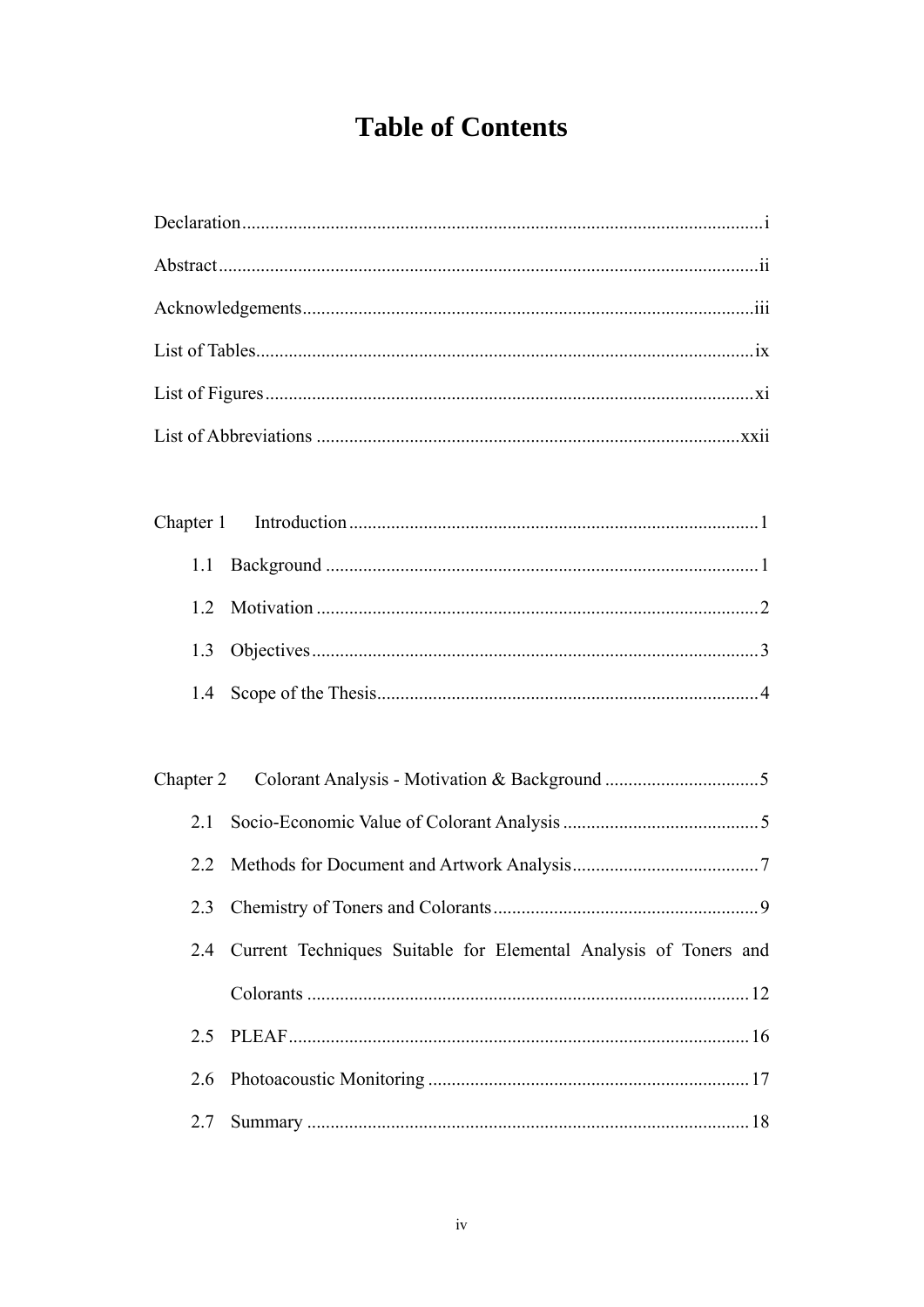# **Table of Contents**

| 1.1       |                                                                  |
|-----------|------------------------------------------------------------------|
| 1.2       |                                                                  |
| 1.3       |                                                                  |
| 1.4       |                                                                  |
|           |                                                                  |
| Chapter 2 |                                                                  |
| 2.1       |                                                                  |
| 2.2       |                                                                  |
|           |                                                                  |
| 2.4       | Current Techniques Suitable for Elemental Analysis of Toners and |
|           |                                                                  |
| 2.5       |                                                                  |
| 2.6       |                                                                  |
| 2.7       |                                                                  |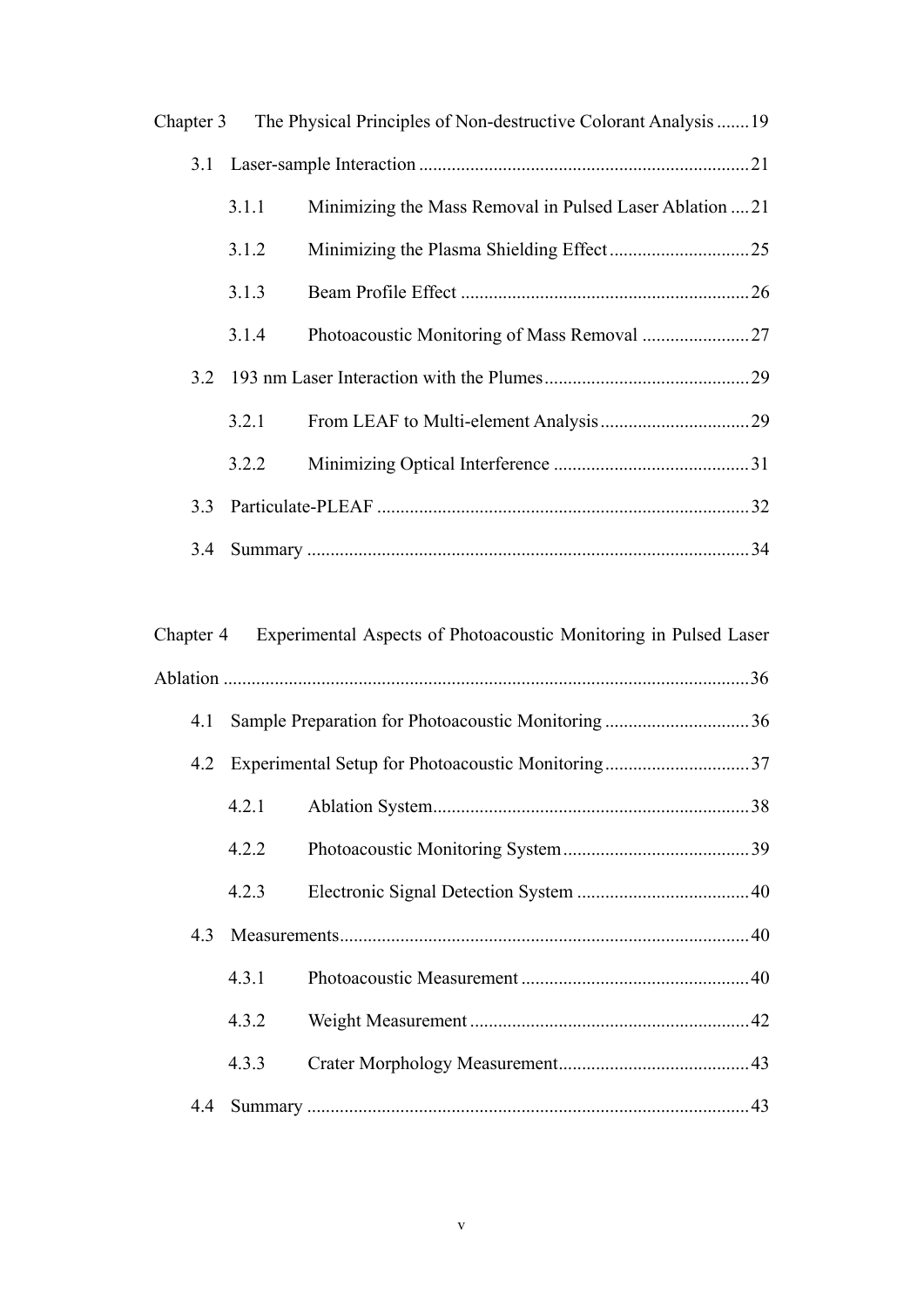|     |       | Chapter 3 The Physical Principles of Non-destructive Colorant Analysis 19 |  |
|-----|-------|---------------------------------------------------------------------------|--|
|     |       |                                                                           |  |
|     | 3.1.1 | Minimizing the Mass Removal in Pulsed Laser Ablation  21                  |  |
|     | 3.1.2 |                                                                           |  |
|     | 3.1.3 |                                                                           |  |
|     | 3.1.4 |                                                                           |  |
|     |       |                                                                           |  |
|     | 3.2.1 |                                                                           |  |
|     | 3.2.2 |                                                                           |  |
| 3.3 |       |                                                                           |  |
| 3.4 |       |                                                                           |  |
|     |       |                                                                           |  |

|     |       | Chapter 4 Experimental Aspects of Photoacoustic Monitoring in Pulsed Laser |  |
|-----|-------|----------------------------------------------------------------------------|--|
|     |       |                                                                            |  |
| 4.1 |       | Sample Preparation for Photoacoustic Monitoring36                          |  |
| 4.2 |       | Experimental Setup for Photoacoustic Monitoring37                          |  |
|     | 4.2.1 |                                                                            |  |
|     | 4.2.2 |                                                                            |  |
|     | 4.2.3 |                                                                            |  |
| 4.3 |       |                                                                            |  |
|     | 4.3.1 |                                                                            |  |
|     | 4.3.2 |                                                                            |  |
|     | 4.3.3 |                                                                            |  |
| 4.4 |       |                                                                            |  |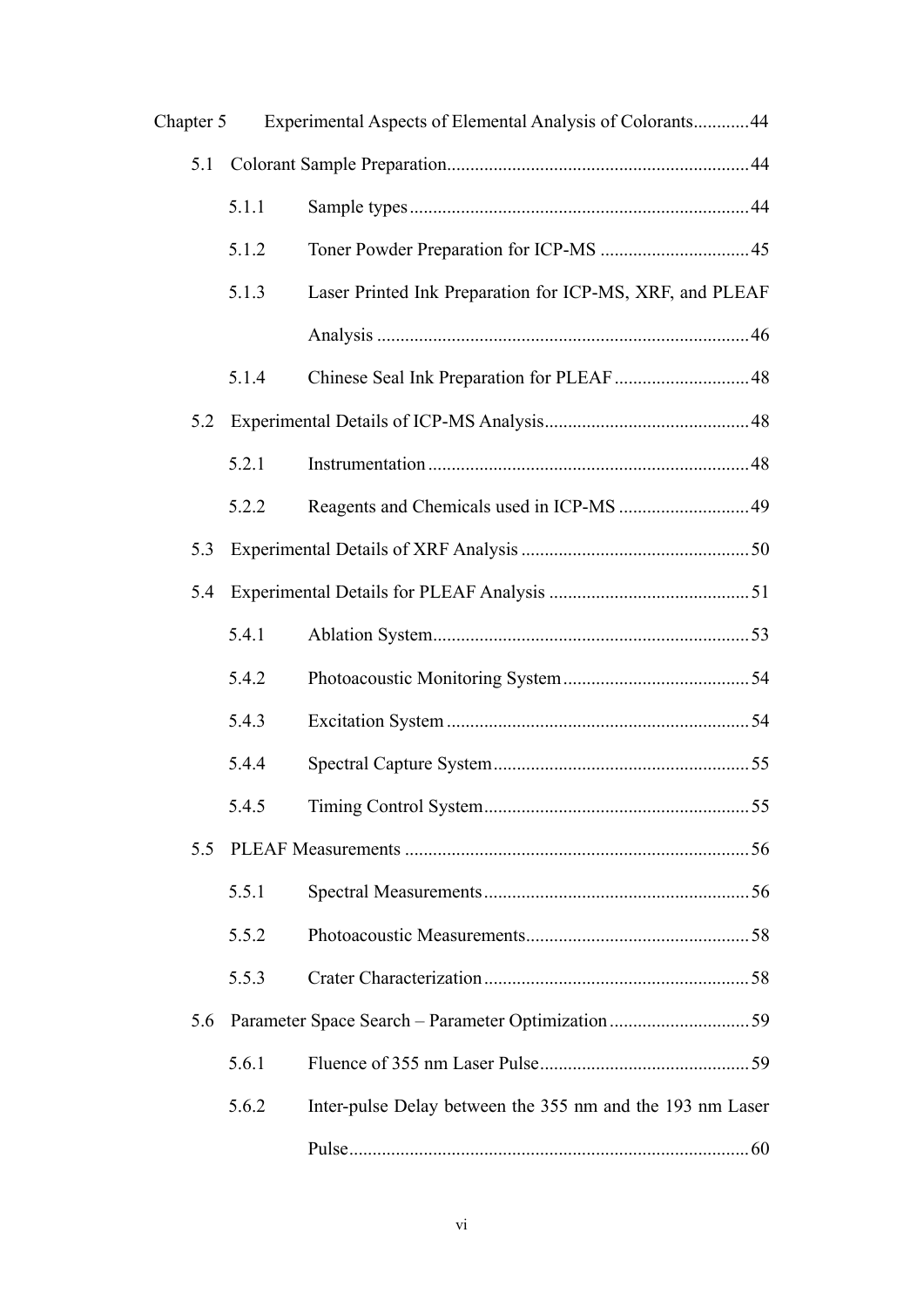| Chapter 5 |       | Experimental Aspects of Elemental Analysis of Colorants 44 |  |
|-----------|-------|------------------------------------------------------------|--|
| 5.1       |       |                                                            |  |
|           | 5.1.1 |                                                            |  |
|           | 5.1.2 |                                                            |  |
|           | 5.1.3 | Laser Printed Ink Preparation for ICP-MS, XRF, and PLEAF   |  |
|           |       |                                                            |  |
|           | 5.1.4 |                                                            |  |
| 5.2       |       |                                                            |  |
|           | 5.2.1 |                                                            |  |
|           | 5.2.2 |                                                            |  |
| 5.3       |       |                                                            |  |
| 5.4       |       |                                                            |  |
|           | 5.4.1 |                                                            |  |
|           | 5.4.2 |                                                            |  |
|           | 5.4.3 |                                                            |  |
|           | 5.4.4 |                                                            |  |
|           | 5.4.5 |                                                            |  |
| 5.5       |       |                                                            |  |
|           | 5.5.1 |                                                            |  |
|           | 5.5.2 |                                                            |  |
|           | 5.5.3 |                                                            |  |
| 5.6       |       |                                                            |  |
|           | 5.6.1 |                                                            |  |
|           | 5.6.2 | Inter-pulse Delay between the 355 nm and the 193 nm Laser  |  |
|           |       |                                                            |  |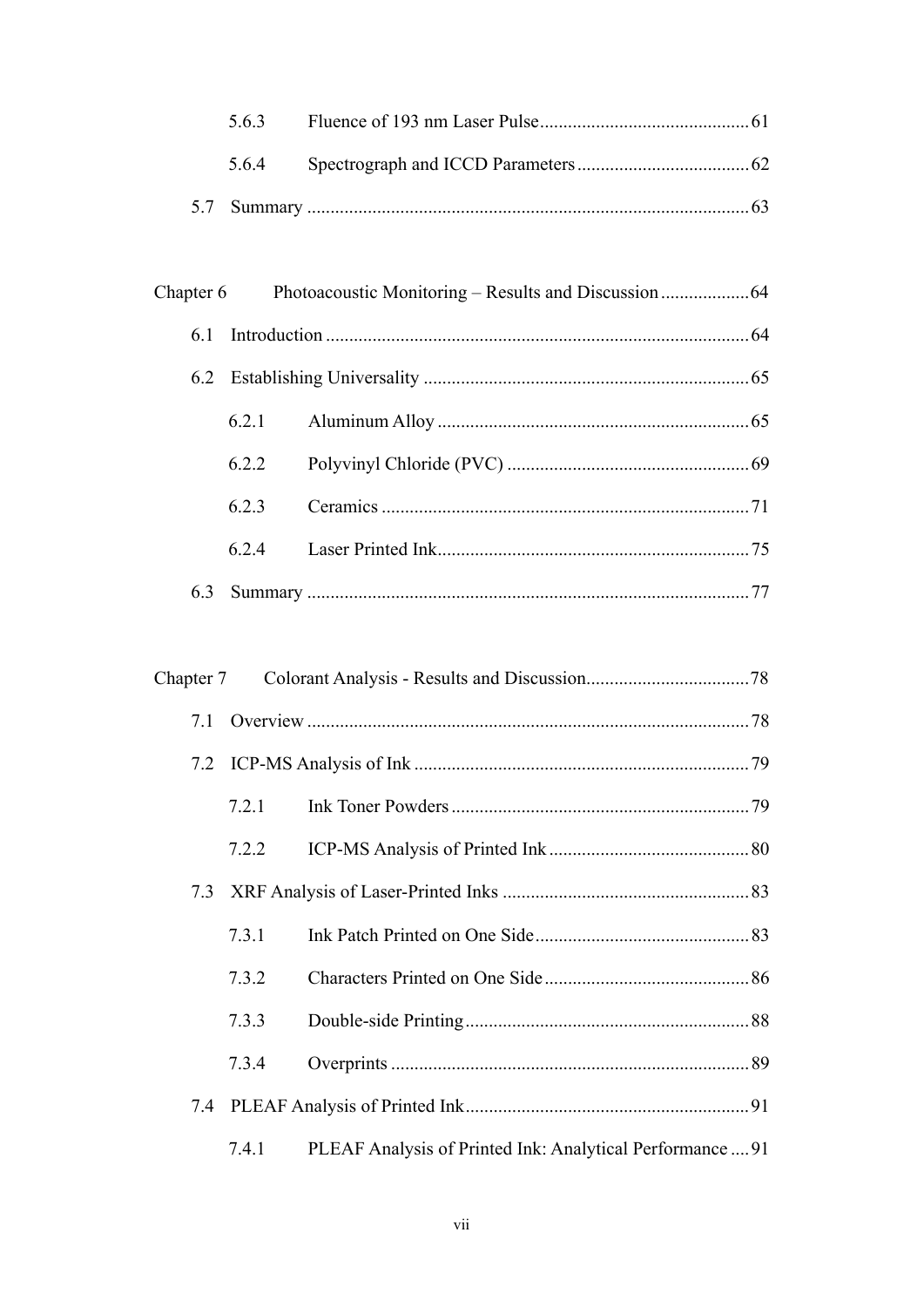| 563 |  |  |
|-----|--|--|
|     |  |  |
|     |  |  |

| 61  |       |  |
|-----|-------|--|
|     |       |  |
|     | 6.2.1 |  |
|     | 6.2.2 |  |
|     | 6.2.3 |  |
|     | 6.2.4 |  |
| 6.3 |       |  |

| Chapter 7 |       |                                                           |  |
|-----------|-------|-----------------------------------------------------------|--|
| 7.1       |       |                                                           |  |
|           |       |                                                           |  |
|           | 7.2.1 |                                                           |  |
|           | 7.2.2 |                                                           |  |
| 7.3       |       |                                                           |  |
|           | 7.3.1 |                                                           |  |
|           | 7.3.2 |                                                           |  |
|           | 7.3.3 |                                                           |  |
|           | 7.3.4 |                                                           |  |
|           |       |                                                           |  |
|           | 7.4.1 | PLEAF Analysis of Printed Ink: Analytical Performance  91 |  |